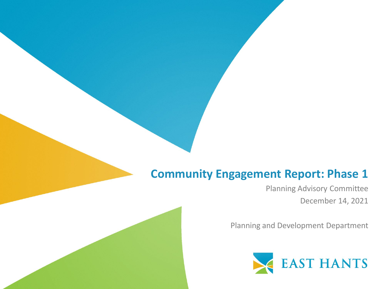### **Community Engagement Report: Phase 1**

Planning Advisory Committee December 14, 2021

Planning and Development Department

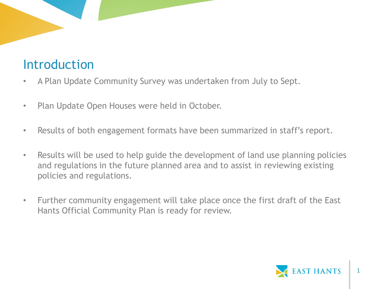# Introduction

- A Plan Update Community Survey was undertaken from July to Sept.
- Plan Update Open Houses were held in October.
- Results of both engagement formats have been summarized in staff's report.
- Results will be used to help guide the development of land use planning policies and regulations in the future planned area and to assist in reviewing existing policies and regulations.
- Further community engagement will take place once the first draft of the East Hants Official Community Plan is ready for review.

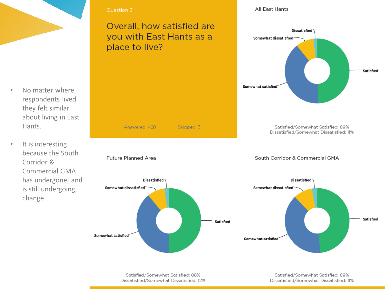

- No matter where respondents lived they felt similar about living in East Hants.
- It is interesting because the South Corridor & Commercial GMA has undergone, and is still undergoing, change.

### Overall, how satisfied are you with East Hants as a place to live?

Answered: 428

Dissatisfied

Future Planned Area

Somewhat dissatisfied

Somewhat satisfied

All East Hants



Satisfied/Somewhat Satisfied: 88% Dissatisfied/Somewhat Dissatisfied: 12%

Satisfied/Somewhat Satisfied: 89% Dissatisfied/Somewhat Dissatisfied: 11%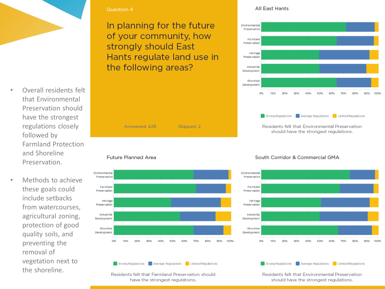

- Overall residents felt that Environmental Preservation should have the strongest regulations closely followed by Farmland Protection and Shoreline Preservation.
- Methods to achieve these goals could include setbacks from watercourses, agricultural zoning, protection of good quality soils, and preventing the removal of vegetation next to the shoreline.

In planning for the future of your community, how strongly should East Hants regulate land use in the following areas?

#### Answered: 429 Skipped: 2

Future Planned Area



#### Strong Regulations **Confidence** Average Regulations **Confidence** Limited Regulations

Residents felt that Farmland Preservation should have the strongest regulations.

#### All East Hants



#### South Corridor & Commercial GMA



Strong Regulations **Confidence** Average Regulations **Confidence** Limited Regulations

Residents felt that Environmental Preservation should have the strongest regulations.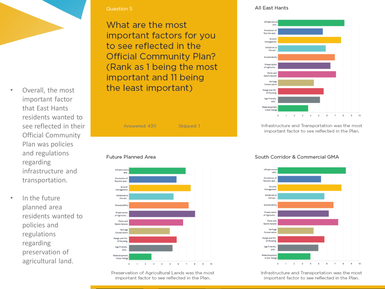- Overall, the most important factor that East Hants residents wanted to see reflected in their Official Community Plan was policies and regulations regarding infrastructure and transportation.
- In the future planned area residents wanted to policies and regulations regarding preservation of agricultural land.

What are the most important factors for you to see reflected in the **Official Community Plan?** (Rank as 1 being the most important and 11 being the least important)







Preservation of Agricultural Lands was the most important factor to see reflected in the Plan.

#### All East Hants



Infrastructure and Transportation was the most important factor to see reflected in the Plan.

#### South Corridor & Commercial GMA



Infrastructure and Transportation was the most important factor to see reflected in the Plan.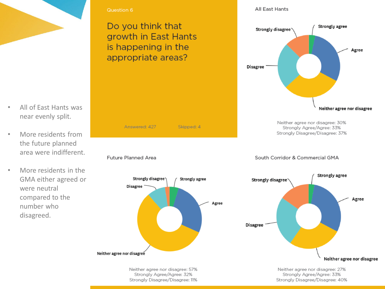

- All of East Hants was near evenly split.
- More residents from the future planned area were indifferent.
- More residents in the GMA either agreed or were neutral compared to the number who disagreed.

Do you think that growth in East Hants is happening in the appropriate areas?

Answered: 427

Strongly disagree

Future Planned Area

Disagree

Neither agree nor disagree

Skipped: 4

Strongly agree

All East Hants



Neither agree nor disagree: 57% Strongly Agree/Agree: 32% Stronaly Disagree/Disagree: 11%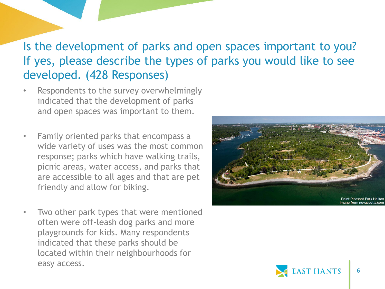### Is the development of parks and open spaces important to you? If yes, please describe the types of parks you would like to see developed. (428 Responses)

- Respondents to the survey overwhelmingly indicated that the development of parks and open spaces was important to them.
- Family oriented parks that encompass a wide variety of uses was the most common response; parks which have walking trails, picnic areas, water access, and parks that are accessible to all ages and that are pet friendly and allow for biking.
- Two other park types that were mentioned often were off-leash dog parks and more playgrounds for kids. Many respondents indicated that these parks should be located within their neighbourhoods for easy access.



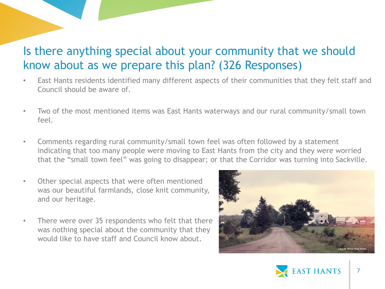### Is there anything special about your community that we should know about as we prepare this plan? (326 Responses)

- East Hants residents identified many different aspects of their communities that they felt staff and Council should be aware of.
- Two of the most mentioned items was East Hants waterways and our rural community/small town feel.
- Comments regarding rural community/small town feel was often followed by a statement indicating that too many people were moving to East Hants from the city and they were worried that the "small town feel" was going to disappear; or that the Corridor was turning into Sackville.
- Other special aspects that were often mentioned was our beautiful farmlands, close knit community, and our heritage.
- There were over 35 respondents who felt that there was nothing special about the community that they would like to have staff and Council know about.



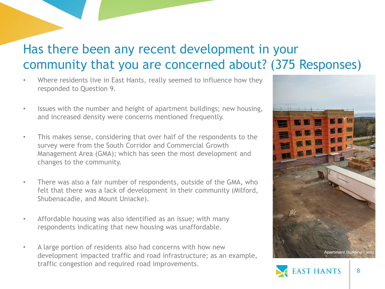# Has there been any recent development in your community that you are concerned about? (375 Responses)

- Where residents live in East Hants, really seemed to influence how they responded to Question 9.
- Issues with the number and height of apartment buildings; new housing, and increased density were concerns mentioned frequently.
- This makes sense, considering that over half of the respondents to the survey were from the South Corridor and Commercial Growth Management Area (GMA); which has seen the most development and changes to the community.
- There was also a fair number of respondents, outside of the GMA, who felt that there was a lack of development in their community (Milford, Shubenacadie, and Mount Uniacke).
- Affordable housing was also identified as an issue; with many respondents indicating that new housing was unaffordable.
- A large portion of residents also had concerns with how new development impacted traffic and road infrastructure; as an example, traffic congestion and required road improvements.



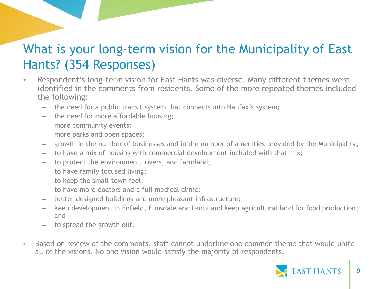### What is your long-term vision for the Municipality of East Hants? (354 Responses)

- Respondent's long-term vision for East Hants was diverse. Many different themes were identified in the comments from residents. Some of the more repeated themes included the following:
	- the need for a public transit system that connects into Halifax's system;
	- the need for more affordable housing;
	- more community events;
	- more parks and open spaces;
	- growth in the number of businesses and in the number of amenities provided by the Municipality;
	- to have a mix of housing with commercial development included with that mix;
	- to protect the environment, rivers, and farmland;
	- to have family focused living;
	- to keep the small-town feel;
	- to have more doctors and a full medical clinic;
	- better designed buildings and more pleasant infrastructure;
	- keep development in Enfield, Elmsdale and Lantz and keep agricultural land for food production; and
	- to spread the growth out.
- Based on review of the comments, staff cannot underline one common theme that would unite all of the visions. No one vision would satisfy the majority of respondents.

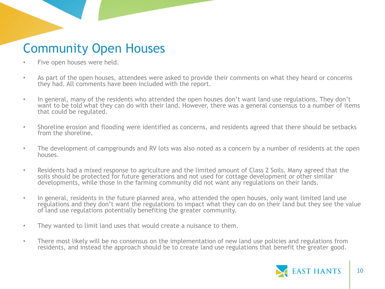# Community Open Houses

- Five open houses were held.
- As part of the open houses, attendees were asked to provide their comments on what they heard or concerns they had. All comments have been included with the report.
- In general, many of the residents who attended the open houses don't want land use regulations. They don't want to be told what they can do with their land. However, there was a general consensus to a number of items that could be regulated.
- Shoreline erosion and flooding were identified as concerns, and residents agreed that there should be setbacks from the shoreline.
- The development of campgrounds and RV lots was also noted as a concern by a number of residents at the open houses.
- Residents had a mixed response to agriculture and the limited amount of Class 2 Soils. Many agreed that the soils should be protected for future generations and not used for cottage development or other similar developments, while those in the farming community did not want any regulations on their lands.
- In general, residents in the future planned area, who attended the open houses, only want limited land use regulations and they don't want the regulations to impact what they can do on their land but they see the value of land use regulations potentially benefiting the greater community.
- They wanted to limit land uses that would create a nuisance to them.
- There most likely will be no consensus on the implementation of new land use policies and regulations from residents, and instead the approach should be to create land use regulations that benefit the greater good.

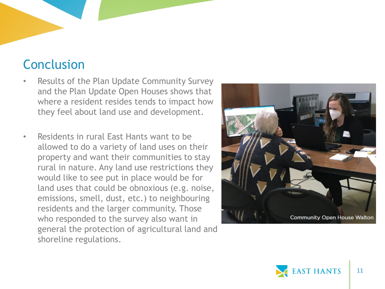# Conclusion

- Results of the Plan Update Community Survey and the Plan Update Open Houses shows that where a resident resides tends to impact how they feel about land use and development.
- Residents in rural East Hants want to be allowed to do a variety of land uses on their property and want their communities to stay rural in nature. Any land use restrictions they would like to see put in place would be for land uses that could be obnoxious (e.g. noise, emissions, smell, dust, etc.) to neighbouring residents and the larger community. Those who responded to the survey also want in general the protection of agricultural land and shoreline regulations.



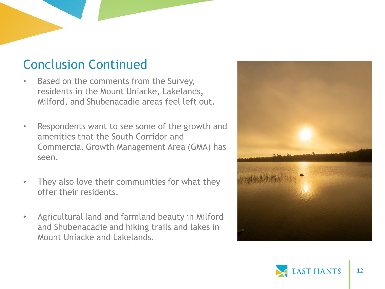## Conclusion Continued

- Based on the comments from the Survey, residents in the Mount Uniacke, Lakelands, Milford, and Shubenacadie areas feel left out.
- Respondents want to see some of the growth and amenities that the South Corridor and Commercial Growth Management Area (GMA) has seen.
- They also love their communities for what they offer their residents.
- Agricultural land and farmland beauty in Milford and Shubenacadie and hiking trails and lakes in Mount Uniacke and Lakelands.